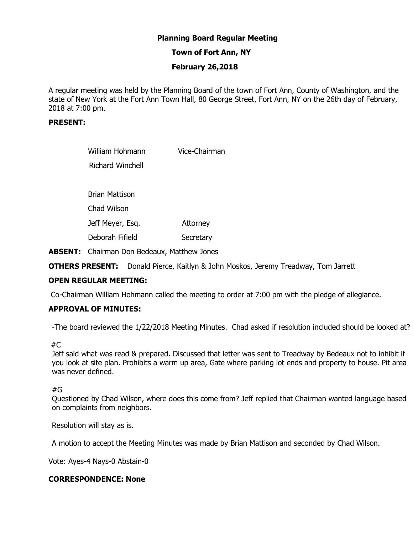# **Planning Board Regular Meeting**

# **Town of Fort Ann, NY**

# **February 26,2018**

A regular meeting was held by the Planning Board of the town of Fort Ann, County of Washington, and the state of New York at the Fort Ann Town Hall, 80 George Street, Fort Ann, NY on the 26th day of February, 2018 at 7:00 pm.

## **PRESENT:**

| William Hohmann  | Vice-Chairman |
|------------------|---------------|
| Richard Winchell |               |
|                  |               |
| Brian Mattison   |               |
| Chad Wilson      |               |
| Jeff Meyer, Esq. | Attorney      |
| Deborah Fifield  | Secretary     |
|                  |               |

**ABSENT:** Chairman Don Bedeaux, Matthew Jones

**OTHERS PRESENT:** Donald Pierce, Kaitlyn & John Moskos, Jeremy Treadway, Tom Jarrett

## **OPEN REGULAR MEETING:**

Co-Chairman William Hohmann called the meeting to order at 7:00 pm with the pledge of allegiance.

# **APPROVAL OF MINUTES:**

-The board reviewed the 1/22/2018 Meeting Minutes. Chad asked if resolution included should be looked at?

#### #C

Jeff said what was read & prepared. Discussed that letter was sent to Treadway by Bedeaux not to inhibit if you look at site plan. Prohibits a warm up area, Gate where parking lot ends and property to house. Pit area was never defined.

#G

Questioned by Chad Wilson, where does this come from? Jeff replied that Chairman wanted language based on complaints from neighbors.

Resolution will stay as is.

A motion to accept the Meeting Minutes was made by Brian Mattison and seconded by Chad Wilson.

Vote: Ayes-4 Nays-0 Abstain-0

#### **CORRESPONDENCE: None**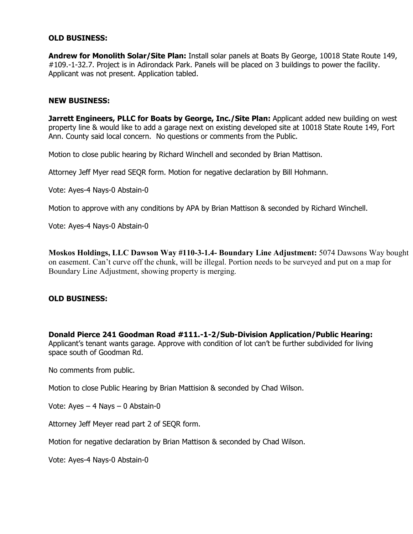### **OLD BUSINESS:**

**Andrew for Monolith Solar/Site Plan:** Install solar panels at Boats By George, 10018 State Route 149, #109.-1-32.7. Project is in Adirondack Park. Panels will be placed on 3 buildings to power the facility. Applicant was not present. Application tabled.

#### **NEW BUSINESS:**

Jarrett Engineers, PLLC for Boats by George, Inc./Site Plan: Applicant added new building on west property line & would like to add a garage next on existing developed site at 10018 State Route 149, Fort Ann. County said local concern. No questions or comments from the Public.

Motion to close public hearing by Richard Winchell and seconded by Brian Mattison.

Attorney Jeff Myer read SEQR form. Motion for negative declaration by Bill Hohmann.

Vote: Ayes-4 Nays-0 Abstain-0

Motion to approve with any conditions by APA by Brian Mattison & seconded by Richard Winchell.

Vote: Ayes-4 Nays-0 Abstain-0

**Moskos Holdings, LLC Dawson Way #110-3-1.4- Boundary Line Adjustment:** 5074 Dawsons Way bought on easement. Can't curve off the chunk, will be illegal. Portion needs to be surveyed and put on a map for Boundary Line Adjustment, showing property is merging.

#### **OLD BUSINESS:**

**Donald Pierce 241 Goodman Road #111.-1-2/Sub-Division Application/Public Hearing:**  Applicant's tenant wants garage. Approve with condition of lot can't be further subdivided for living space south of Goodman Rd.

No comments from public.

Motion to close Public Hearing by Brian Mattision & seconded by Chad Wilson.

Vote: Ayes – 4 Nays – 0 Abstain-0

Attorney Jeff Meyer read part 2 of SEQR form.

Motion for negative declaration by Brian Mattison & seconded by Chad Wilson.

Vote: Ayes-4 Nays-0 Abstain-0